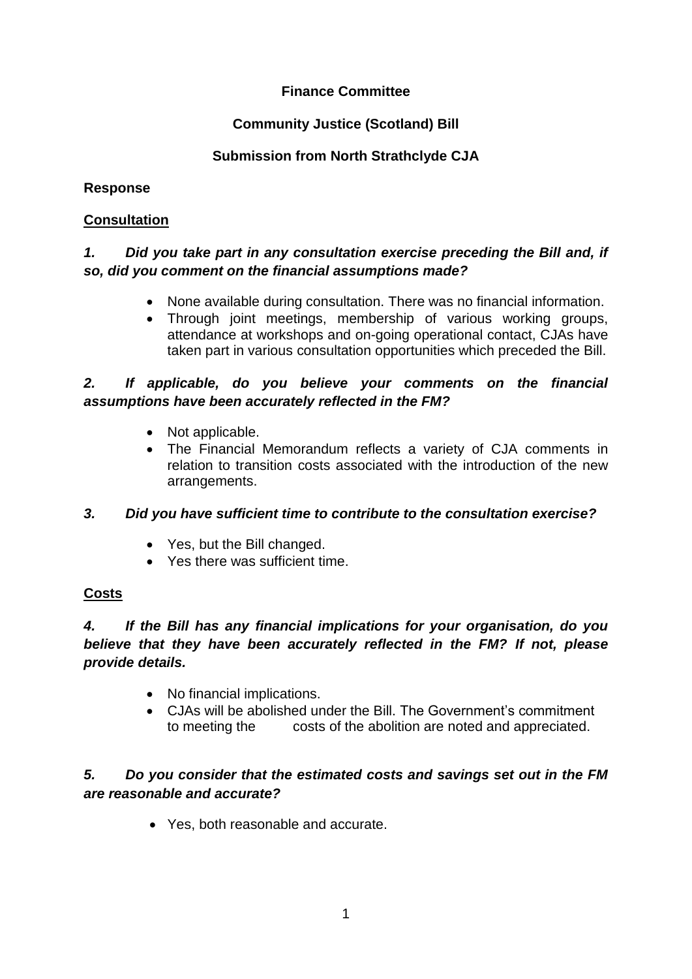# **Finance Committee**

## **Community Justice (Scotland) Bill**

## **Submission from North Strathclyde CJA**

### **Response**

#### **Consultation**

## *1. Did you take part in any consultation exercise preceding the Bill and, if so, did you comment on the financial assumptions made?*

- None available during consultation. There was no financial information.
- Through joint meetings, membership of various working groups, attendance at workshops and on-going operational contact, CJAs have taken part in various consultation opportunities which preceded the Bill.

## *2. If applicable, do you believe your comments on the financial assumptions have been accurately reflected in the FM?*

- Not applicable.
- The Financial Memorandum reflects a variety of CJA comments in relation to transition costs associated with the introduction of the new arrangements.

### *3. Did you have sufficient time to contribute to the consultation exercise?*

- Yes, but the Bill changed.
- Yes there was sufficient time.

### **Costs**

## *4. If the Bill has any financial implications for your organisation, do you believe that they have been accurately reflected in the FM? If not, please provide details.*

- No financial implications.
- CJAs will be abolished under the Bill. The Government's commitment to meeting the costs of the abolition are noted and appreciated.

## *5. Do you consider that the estimated costs and savings set out in the FM are reasonable and accurate?*

Yes, both reasonable and accurate.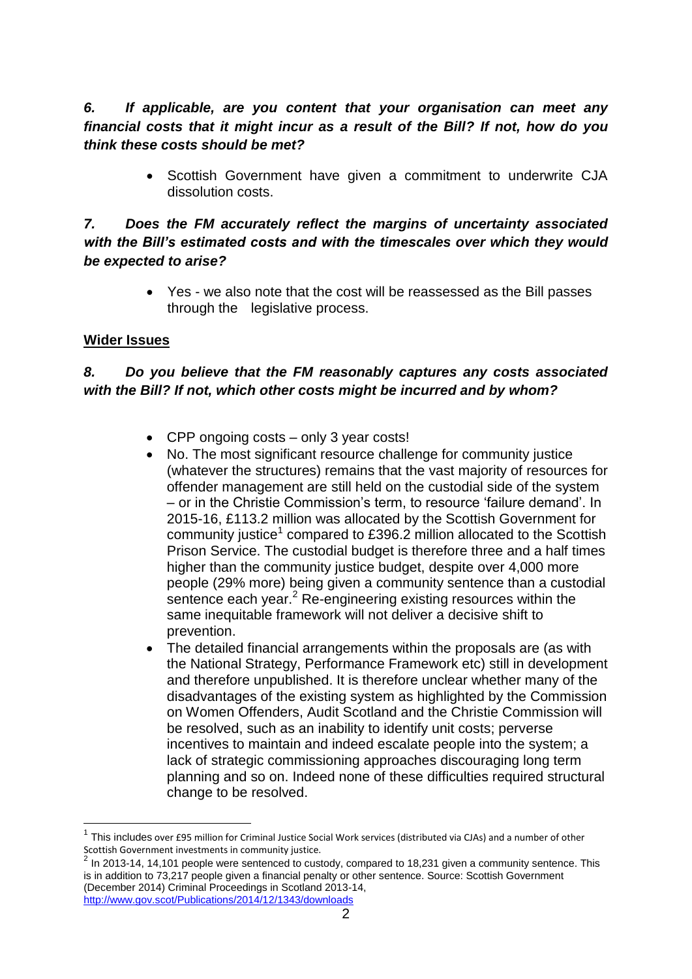## *6. If applicable, are you content that your organisation can meet any financial costs that it might incur as a result of the Bill? If not, how do you think these costs should be met?*

 Scottish Government have given a commitment to underwrite CJA dissolution costs.

## *7. Does the FM accurately reflect the margins of uncertainty associated with the Bill's estimated costs and with the timescales over which they would be expected to arise?*

 Yes - we also note that the cost will be reassessed as the Bill passes through the legislative process.

## **Wider Issues**

1

# *8. Do you believe that the FM reasonably captures any costs associated with the Bill? If not, which other costs might be incurred and by whom?*

- CPP ongoing costs only 3 year costs!
- No. The most significant resource challenge for community justice (whatever the structures) remains that the vast majority of resources for offender management are still held on the custodial side of the system – or in the Christie Commission's term, to resource 'failure demand'. In 2015-16, £113.2 million was allocated by the Scottish Government for community justice<sup>1</sup> compared to £396.2 million allocated to the Scottish Prison Service. The custodial budget is therefore three and a half times higher than the community justice budget, despite over 4,000 more people (29% more) being given a community sentence than a custodial sentence each year.<sup>2</sup> Re-engineering existing resources within the same inequitable framework will not deliver a decisive shift to prevention.
- The detailed financial arrangements within the proposals are (as with the National Strategy, Performance Framework etc) still in development and therefore unpublished. It is therefore unclear whether many of the disadvantages of the existing system as highlighted by the Commission on Women Offenders, Audit Scotland and the Christie Commission will be resolved, such as an inability to identify unit costs; perverse incentives to maintain and indeed escalate people into the system; a lack of strategic commissioning approaches discouraging long term planning and so on. Indeed none of these difficulties required structural change to be resolved.

<sup>1</sup> This includes over £95 million for Criminal Justice Social Work services (distributed via CJAs) and a number of other Scottish Government investments in community justice.<br><sup>2</sup> Jn 2012, 14, 14, 101 people were conteneed to sup

In 2013-14, 14,101 people were sentenced to custody, compared to 18,231 given a community sentence. This is in addition to 73,217 people given a financial penalty or other sentence. Source: Scottish Government (December 2014) Criminal Proceedings in Scotland 2013-14, <http://www.gov.scot/Publications/2014/12/1343/downloads>